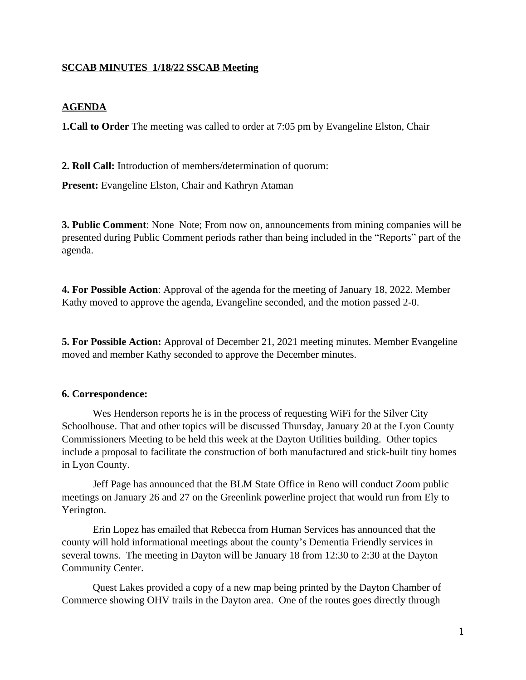## **SCCAB MINUTES 1/18/22 SSCAB Meeting**

## **AGENDA**

**1.Call to Order** The meeting was called to order at 7:05 pm by Evangeline Elston, Chair

**2. Roll Call:** Introduction of members/determination of quorum:

**Present:** Evangeline Elston, Chair and Kathryn Ataman

**3. Public Comment**: None Note; From now on, announcements from mining companies will be presented during Public Comment periods rather than being included in the "Reports" part of the agenda.

**4. For Possible Action**: Approval of the agenda for the meeting of January 18, 2022. Member Kathy moved to approve the agenda, Evangeline seconded, and the motion passed 2-0.

**5. For Possible Action:** Approval of December 21, 2021 meeting minutes. Member Evangeline moved and member Kathy seconded to approve the December minutes.

#### **6. Correspondence:**

Wes Henderson reports he is in the process of requesting WiFi for the Silver City Schoolhouse. That and other topics will be discussed Thursday, January 20 at the Lyon County Commissioners Meeting to be held this week at the Dayton Utilities building. Other topics include a proposal to facilitate the construction of both manufactured and stick-built tiny homes in Lyon County.

Jeff Page has announced that the BLM State Office in Reno will conduct Zoom public meetings on January 26 and 27 on the Greenlink powerline project that would run from Ely to Yerington.

Erin Lopez has emailed that Rebecca from Human Services has announced that the county will hold informational meetings about the county's Dementia Friendly services in several towns. The meeting in Dayton will be January 18 from 12:30 to 2:30 at the Dayton Community Center.

Quest Lakes provided a copy of a new map being printed by the Dayton Chamber of Commerce showing OHV trails in the Dayton area. One of the routes goes directly through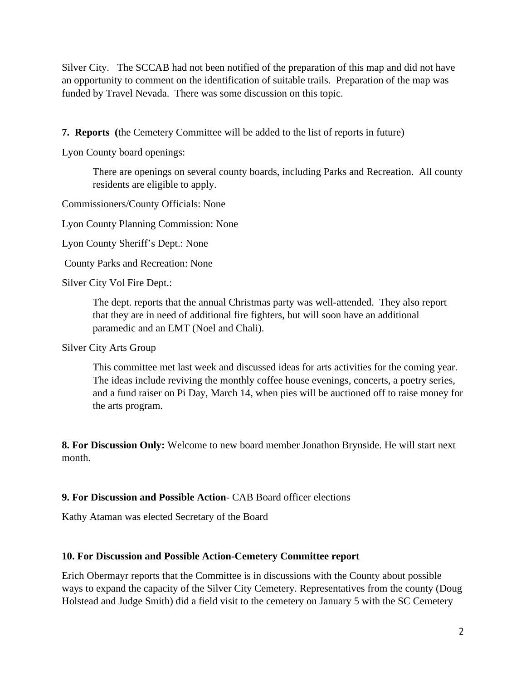Silver City. The SCCAB had not been notified of the preparation of this map and did not have an opportunity to comment on the identification of suitable trails. Preparation of the map was funded by Travel Nevada. There was some discussion on this topic.

**7. Reports (**the Cemetery Committee will be added to the list of reports in future)

Lyon County board openings:

There are openings on several county boards, including Parks and Recreation. All county residents are eligible to apply.

Commissioners/County Officials: None

Lyon County Planning Commission: None

Lyon County Sheriff's Dept.: None

County Parks and Recreation: None

Silver City Vol Fire Dept.:

The dept. reports that the annual Christmas party was well-attended. They also report that they are in need of additional fire fighters, but will soon have an additional paramedic and an EMT (Noel and Chali).

Silver City Arts Group

This committee met last week and discussed ideas for arts activities for the coming year. The ideas include reviving the monthly coffee house evenings, concerts, a poetry series, and a fund raiser on Pi Day, March 14, when pies will be auctioned off to raise money for the arts program.

**8. For Discussion Only:** Welcome to new board member Jonathon Brynside. He will start next month.

# **9. For Discussion and Possible Action**- CAB Board officer elections

Kathy Ataman was elected Secretary of the Board

#### **10. For Discussion and Possible Action-Cemetery Committee report**

Erich Obermayr reports that the Committee is in discussions with the County about possible ways to expand the capacity of the Silver City Cemetery. Representatives from the county (Doug Holstead and Judge Smith) did a field visit to the cemetery on January 5 with the SC Cemetery